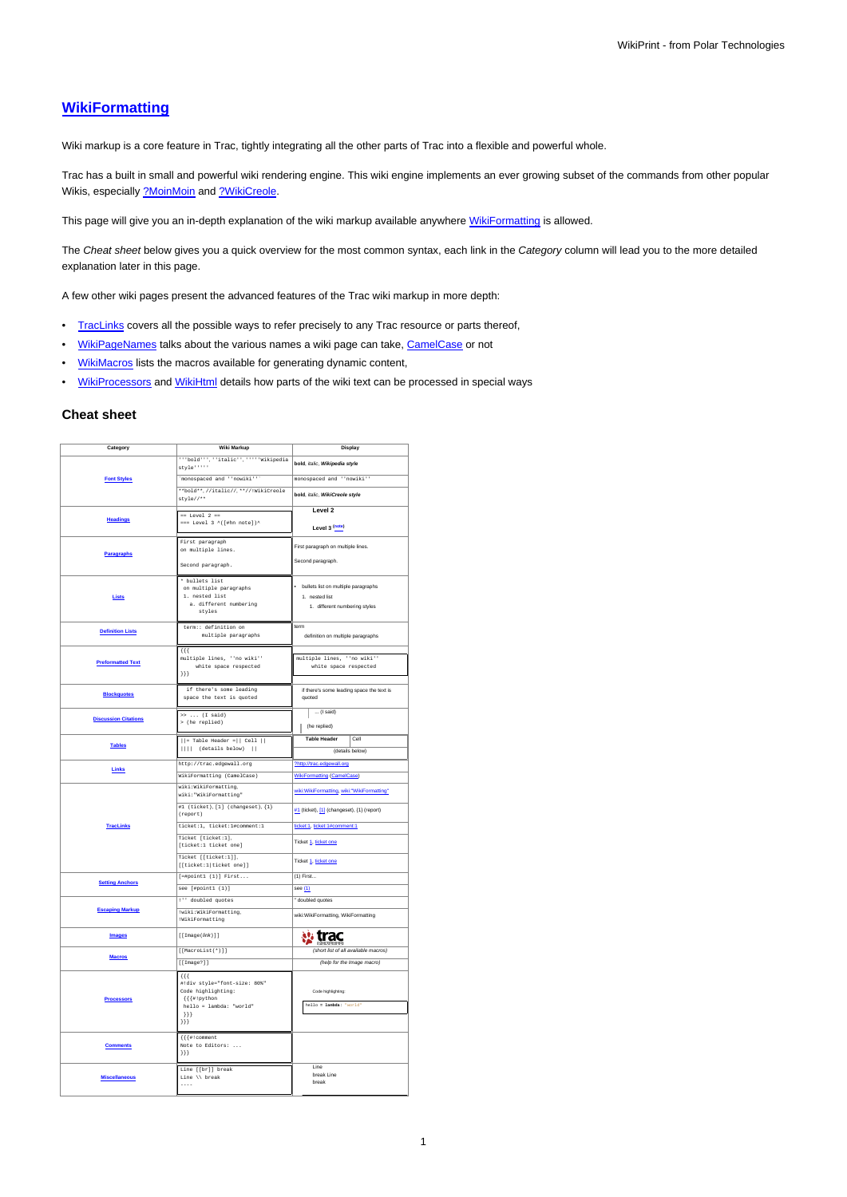# **[WikiFormatting](https://meteo.unican.es/trac/wiki/WikiFormatting)**

Wiki markup is a core feature in Trac, tightly integrating all the other parts of Trac into a flexible and powerful whole.

Trac has a built in small and powerful wiki rendering engine. This wiki engine implements an ever growing subset of the commands from other popular Wikis, especially [?MoinMoin](http://moinmo.in/) and [?WikiCreole](http://trac.edgewall.org/intertrac/WikiCreole).

This page will give you an in-depth explanation of the wiki markup available anywhere [WikiFormatting](https://meteo.unican.es/trac/wiki/WikiFormatting) is allowed.

The Cheat sheet below gives you a quick overview for the most common syntax, each link in the Category column will lead you to the more detailed explanation later in this page.

A few other wiki pages present the advanced features of the Trac wiki markup in more depth:

- [TracLinks](https://meteo.unican.es/trac/wiki/TracLinks) covers all the possible ways to refer precisely to any Trac resource or parts thereof,
- [WikiPageNames](https://meteo.unican.es/trac/wiki/WikiPageNames) talks about the various names a wiki page can take, [CamelCase](https://meteo.unican.es/trac/wiki/CamelCase) or not
- [WikiMacros](https://meteo.unican.es/trac/wiki/WikiMacros) lists the macros available for generating dynamic content,
- [WikiProcessors](https://meteo.unican.es/trac/wiki/WikiProcessors) and [WikiHtml](https://meteo.unican.es/trac/wiki/WikiHtml) details how parts of the wiki text can be processed in special ways

#### **Cheat sheet**

| Category                    | <b>Wiki Markup</b>                                                                                                       | Display                                       |  |  |
|-----------------------------|--------------------------------------------------------------------------------------------------------------------------|-----------------------------------------------|--|--|
|                             | ""bold"", "italic", """Wikipedia<br>style *****                                                                          | bold, italic, Wikipedia style                 |  |  |
| <b>Font Styles</b>          | 'monospaced and ''nowiki'''                                                                                              | monospaced and "'nowiki"                      |  |  |
|                             | **bold**,//italic//,**//!WikiCreole<br>$style$ //**                                                                      | bold, italic, WikiCreole style                |  |  |
|                             | $==$ Level 2 ==                                                                                                          | Level 2                                       |  |  |
| <b>Headings</b>             | $\Rightarrow$ Level 3 ^([#hn note])^                                                                                     | Level 3 (note)                                |  |  |
|                             | First paragraph                                                                                                          | First paragraph on multiple lines.            |  |  |
| <b>Paragraphs</b>           | on multiple lines.                                                                                                       |                                               |  |  |
|                             | Second paragraph.                                                                                                        | Second paragraph.                             |  |  |
|                             | * bullets list<br>on multiple paragraphs                                                                                 | · bullets list on multiple paragraphs         |  |  |
| Lists                       | 1. nested list                                                                                                           | 1. nested list                                |  |  |
|                             | a. different numbering<br>styles                                                                                         | 1. different numbering styles                 |  |  |
|                             |                                                                                                                          |                                               |  |  |
| <b>Definition Lists</b>     | term:: definition on<br>multiple paragraphs                                                                              | term<br>definition on multiple paragraphs     |  |  |
|                             |                                                                                                                          |                                               |  |  |
|                             | $\{ \{\}$<br>multiple lines, "'no wiki"'                                                                                 | multiple lines, "'no wiki"'                   |  |  |
| <b>Preformatted Text</b>    | white space respected                                                                                                    | white space respected                         |  |  |
|                             | ${1}$ } }                                                                                                                |                                               |  |  |
| <b>Blockquotes</b>          | if there's some leading                                                                                                  | if there's some leading space the text is     |  |  |
|                             | space the text is quoted                                                                                                 | quoted                                        |  |  |
| <b>Discussion Citations</b> | $\rightarrow \ldots$ (I said)                                                                                            | $\ldots$ (I said)                             |  |  |
|                             | > (he replied)                                                                                                           | (he replied)                                  |  |  |
| <b>Tables</b>               | $  $ = Table Header = $  $ Cell $  $                                                                                     | <b>Table Header</b><br>Cell                   |  |  |
|                             | $    $ (details below)                                                                                                   | (details below)                               |  |  |
| Links                       | http://trac.edgewall.org                                                                                                 | ?http://trac.edgewall.org                     |  |  |
|                             | WikiFormatting (CamelCase)                                                                                               | <b>WikiFormatting (CamelCase)</b>             |  |  |
|                             | wiki:WikiFormatting,<br>wiki: "WikiFormatting"                                                                           | wiki:WikiFormatting, wiki:"WikiFormatting"    |  |  |
|                             | #1 (ticket), [1] (changeset), {1}<br>(report)                                                                            | #1 (ticket), [1] (changeset), {1} (report)    |  |  |
| <b>TracLinks</b>            | ticket:1, ticket:1#comment:1                                                                                             | ticket:1, ticket:1#comment:1                  |  |  |
|                             | Ticket [ticket:1],<br>[ticket:1 ticket one]                                                                              | Ticket 1, ticket one                          |  |  |
|                             | Ticket [[ticket:1]],<br>[[ticket:1 ticket one]]                                                                          | Ticket 1, ticket one                          |  |  |
| <b>Setting Anchors</b>      | $[=\nexists point1 (1)] First$                                                                                           | $(1)$ First                                   |  |  |
|                             | see [#pointl (1)]                                                                                                        | see (1)                                       |  |  |
|                             | !" doubled quotes                                                                                                        | doubled quotes                                |  |  |
| <b>Escaping Markup</b>      | !wiki:WikiFormatting,<br>!WikiFormatting                                                                                 | wiki:WikiFormatting, WikiFormatting           |  |  |
| Images                      | $[$ [Image( $link$ )]]                                                                                                   | w trac                                        |  |  |
| <b>Macros</b>               | [[MacroList(*)]]                                                                                                         | (short list of all available macros)          |  |  |
|                             | [[Image?]]                                                                                                               | (help for the Image macro)                    |  |  |
| <b>Processors</b>           | ${f}$ {{<br>#!div style="font-size: 80%"<br>Code highlighting:<br>{{{#!python<br>hello = lambda: "world"<br>333<br>${}}$ | Code highlighting:<br>hello - lambda: 'world' |  |  |
| <b>Comments</b>             | {{{#!comment<br>Note to Editors:<br>333                                                                                  |                                               |  |  |
| <b>Miscellaneous</b>        | Line [[br]] break<br>Line $\setminus$ break                                                                              | Line<br>break Line<br>break                   |  |  |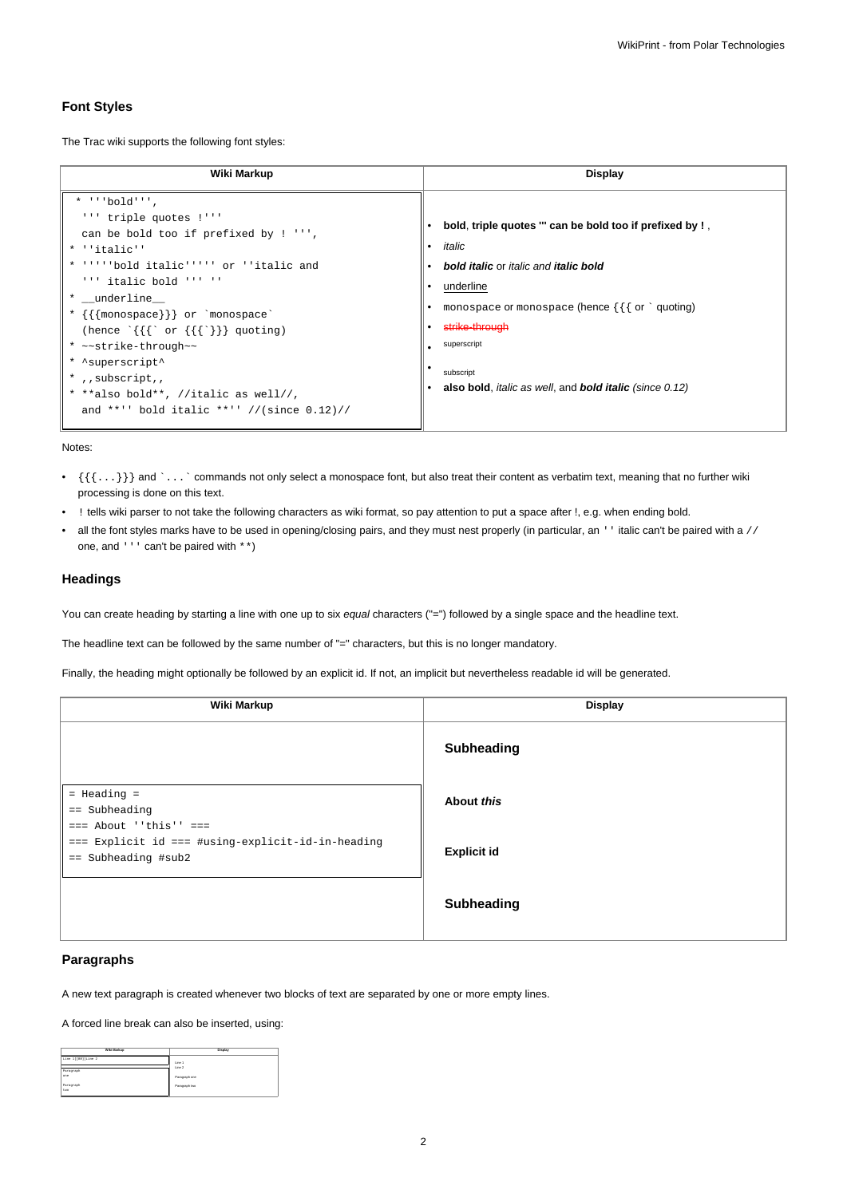### **Font Styles**

The Trac wiki supports the following font styles:

| Wiki Markup                                                                                                                                                                                                                                                                                                                                                                                                                                                     | Display                                                                                                                                                                                                                                                                                                                               |  |
|-----------------------------------------------------------------------------------------------------------------------------------------------------------------------------------------------------------------------------------------------------------------------------------------------------------------------------------------------------------------------------------------------------------------------------------------------------------------|---------------------------------------------------------------------------------------------------------------------------------------------------------------------------------------------------------------------------------------------------------------------------------------------------------------------------------------|--|
| $*$ $\cdot \cdot$ bold'''.<br>''' triple quotes !'''<br>can be bold too if prefixed by ! ''',<br>* ''italic''<br>* ''''bold italic''''' or ''italic and<br>$'$ ''' italic bold ''' ''<br>* _underline__<br>* {{{monospace}}} or `monospace`<br>(hence $\{\{\}^{\circ}$ or $\{\{\}^{\circ}\}\}\$ quoting)<br>* ~~strike-through~~<br>* ^superscript^<br>*,, subscript,,<br>* **also bold**, //italic as well//,<br>and **'' bold italic **'' //(since $0.12$ )// | bold, triple quotes "' can be bold too if prefixed by !,<br>italic<br><b>bold italic</b> or <i>italic</i> and <i>italic</i> bold<br>underline<br>monospace or monospace (hence $\{\{\}$ or $\degree$ quoting)<br>strike-through<br>superscript<br>subscript<br>also bold, <i>italic as well</i> , and <b>bold italic</b> (since 0.12) |  |

Notes:

- $\{\{\ldots\}\}\$  and `... ` commands not only select a monospace font, but also treat their content as verbatim text, meaning that no further wiki processing is done on this text.
- ! tells wiki parser to not take the following characters as wiki format, so pay attention to put a space after !, e.g. when ending bold.
- all the font styles marks have to be used in opening/closing pairs, and they must nest properly (in particular, an '' italic can't be paired with a // one, and ''' can't be paired with \*\*)

## **Headings**

You can create heading by starting a line with one up to six equal characters ("=") followed by a single space and the headline text.

The headline text can be followed by the same number of "=" characters, but this is no longer mandatory.

Finally, the heading might optionally be followed by an explicit id. If not, an implicit but nevertheless readable id will be generated.

| Wiki Markup                                                                | <b>Display</b>     |  |  |
|----------------------------------------------------------------------------|--------------------|--|--|
|                                                                            | <b>Subheading</b>  |  |  |
| $=$ Heading $=$<br>$==$ Subheading<br>$==$ About ''this'' $==$             | About this         |  |  |
| === Explicit id === #using-explicit-id-in-heading<br>$==$ Subheading #sub2 | <b>Explicit id</b> |  |  |
|                                                                            | <b>Subheading</b>  |  |  |

### **Paragraphs**

A new text paragraph is created whenever two blocks of text are separated by one or more empty lines.

A forced line break can also be inserted, using:

| Wiki Markup         | Display       |
|---------------------|---------------|
|                     |               |
| Line 1 [[RR] Line 2 | Line 1        |
| Paragraph           | Line 2        |
| ope                 | Paragraph one |
| Paragraph<br>two    | Paragraph two |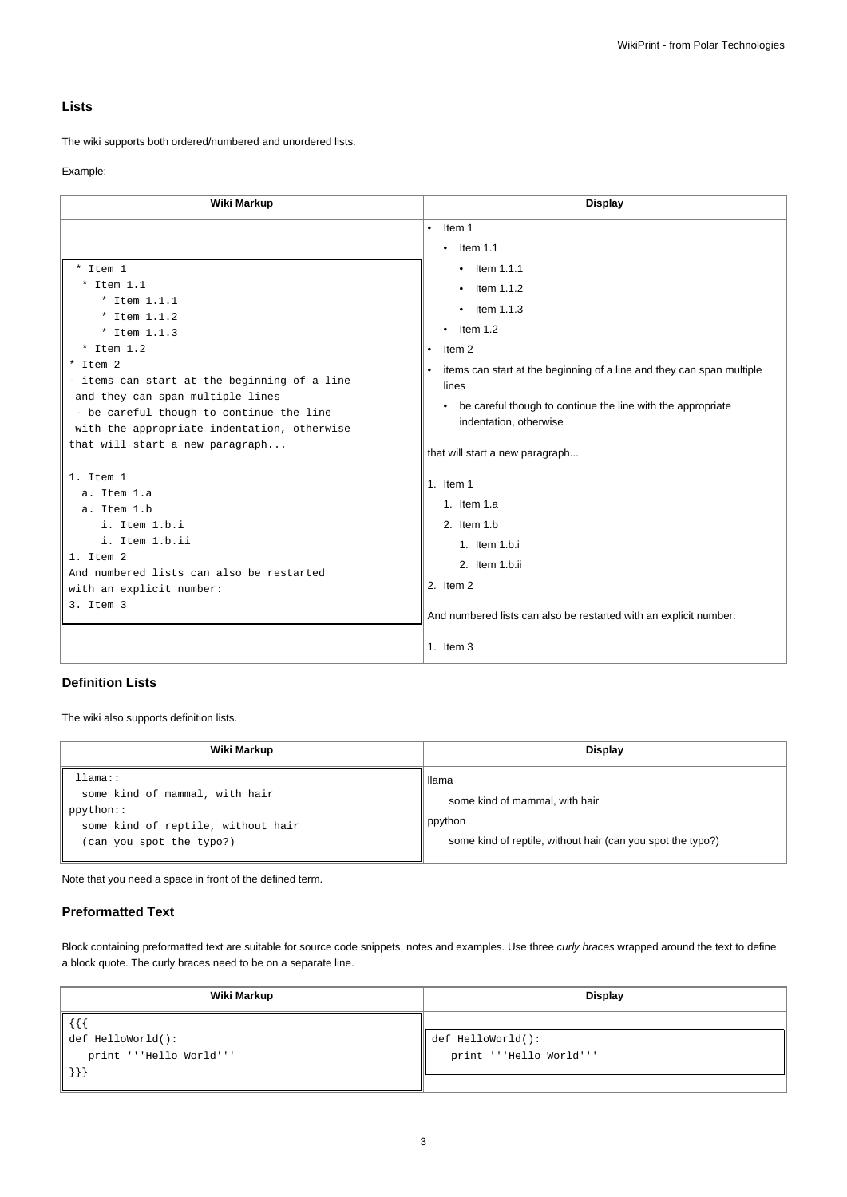## **Lists**

The wiki supports both ordered/numbered and unordered lists.

#### Example:

| Wiki Markup                                                                                                                                                                                                                | <b>Display</b>                                                                                                                                                                                                       |
|----------------------------------------------------------------------------------------------------------------------------------------------------------------------------------------------------------------------------|----------------------------------------------------------------------------------------------------------------------------------------------------------------------------------------------------------------------|
| * Item 1<br>$*$ Item 1.1<br>* Item $1.1.1$<br>* Item 1.1.2<br>* Item $1.1.3$<br>$*$ Item 1.2                                                                                                                               | Item 1<br>$\bullet$<br>Item $1.1$<br>$\bullet$<br>$\bullet$ Item 1.1.1<br>$\bullet$ Item 1.1.2<br>$\bullet$ Item 1.1.3<br>Item $1.2$<br>$\bullet$                                                                    |
| * Item 2<br>- items can start at the beginning of a line<br>and they can span multiple lines<br>- be careful though to continue the line<br>with the appropriate indentation, otherwise<br>that will start a new paragraph | Item 2<br>items can start at the beginning of a line and they can span multiple<br>lines<br>be careful though to continue the line with the appropriate<br>indentation, otherwise<br>that will start a new paragraph |
| 1. Item 1<br>a. Item 1.a<br>a. Item 1.b<br>i. Item 1.b.i<br>i. Item 1.b.ii<br>1. Item 2<br>And numbered lists can also be restarted<br>with an explicit number:<br>3. Item 3                                               | 1. Item $1$<br>1. Item $1.a$<br>2. Item 1.b<br>1. Item 1.b.i<br>2. Item 1.b.ii<br>2. Item 2<br>And numbered lists can also be restarted with an explicit number:                                                     |
|                                                                                                                                                                                                                            | 1. Item $3$                                                                                                                                                                                                          |

## **Definition Lists**

The wiki also supports definition lists.

| Wiki Markup                                                                                                              | <b>Display</b>                                                                                                    |  |
|--------------------------------------------------------------------------------------------------------------------------|-------------------------------------------------------------------------------------------------------------------|--|
| llmma::<br>some kind of mammal, with hair<br>ppython::<br>some kind of reptile, without hair<br>(can you spot the typo?) | llama<br>some kind of mammal, with hair<br>ppython<br>some kind of reptile, without hair (can you spot the typo?) |  |

Note that you need a space in front of the defined term.

## **Preformatted Text**

Block containing preformatted text are suitable for source code snippets, notes and examples. Use three curly braces wrapped around the text to define a block quote. The curly braces need to be on a separate line.

| Wiki Markup             | <b>Display</b>                |  |
|-------------------------|-------------------------------|--|
| l {{i                   |                               |  |
| def HelloWorld():       | $\parallel$ def HelloWorld(): |  |
| print '''Hello World''' | print '''Hello World'''       |  |
| $  \ \} \}$             |                               |  |
|                         |                               |  |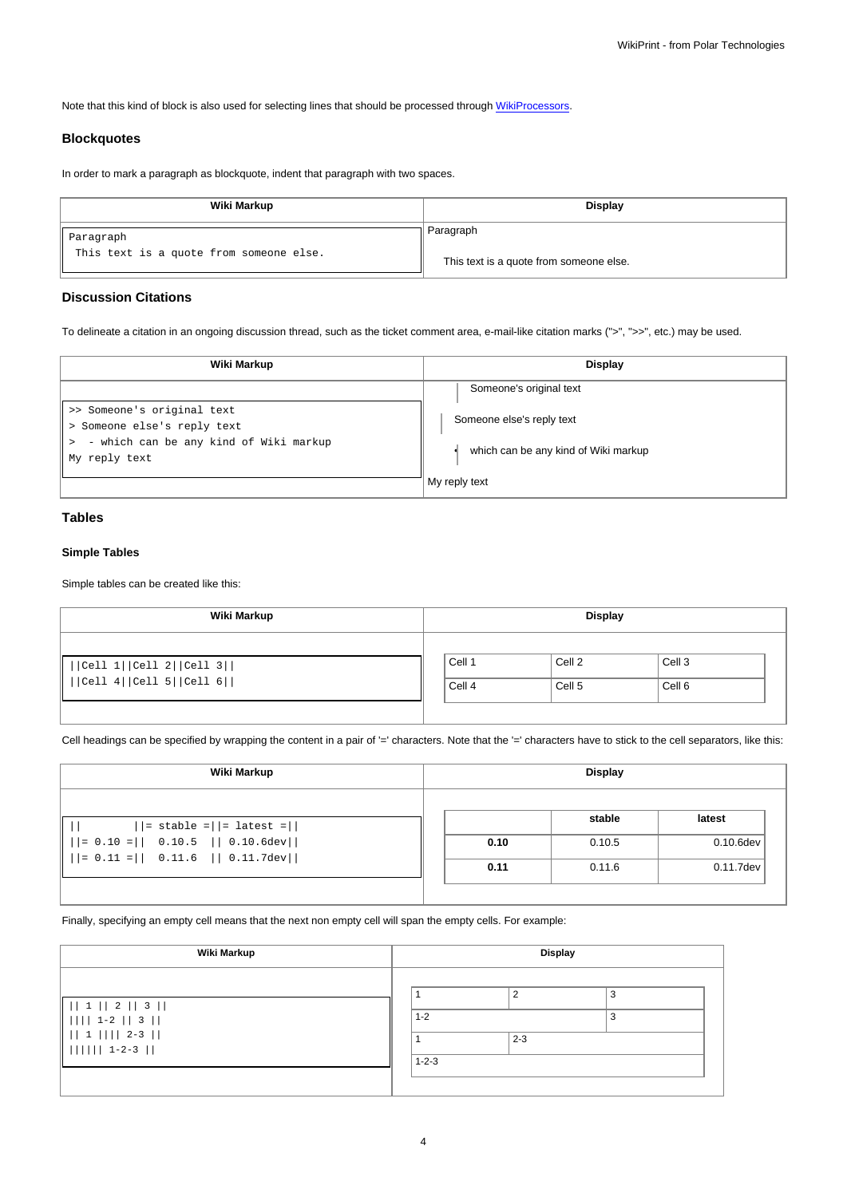Note that this kind of block is also used for selecting lines that should be processed through [WikiProcessors](https://meteo.unican.es/trac/wiki/WikiProcessors).

### **Blockquotes**

In order to mark a paragraph as blockquote, indent that paragraph with two spaces.

| Wiki Markup                                          | <b>Display</b>                          |  |
|------------------------------------------------------|-----------------------------------------|--|
| Paragraph<br>This text is a quote from someone else. | Paragraph                               |  |
|                                                      | This text is a quote from someone else. |  |

## **Discussion Citations**

To delineate a citation in an ongoing discussion thread, such as the ticket comment area, e-mail-like citation marks (">", ">>", etc.) may be used.

| Wiki Markup                                                                                         | Display                                               |  |  |
|-----------------------------------------------------------------------------------------------------|-------------------------------------------------------|--|--|
|                                                                                                     | Someone's original text                               |  |  |
| >> Someone's original text<br>> Someone else's reply text<br>- which can be any kind of Wiki markup | Someone else's reply text                             |  |  |
| My reply text                                                                                       | which can be any kind of Wiki markup<br>My reply text |  |  |

# **Tables**

## **Simple Tables**

Simple tables can be created like this:

| Wiki Markup                                           | <b>Display</b>   |                  |                             |  |
|-------------------------------------------------------|------------------|------------------|-----------------------------|--|
| Cell 1  Cell 2  Cell 3  <br>   Cell 4  Cell 5  Cell 6 | Cell 1<br>Cell 4 | Cell 2<br>Cell 5 | Cell <sub>3</sub><br>Cell 6 |  |

Cell headings can be specified by wrapping the content in a pair of '=' characters. Note that the '=' characters have to stick to the cell separators, like this:

| Wiki Markup                                                                                       |      | <b>Display</b> |              |  |
|---------------------------------------------------------------------------------------------------|------|----------------|--------------|--|
| $  =$ stable = $  =$ latest = $  $                                                                |      | stable         | latest       |  |
| $   = 0.10 =    0.10.5    0.10.6 \text{dev}  $<br>$    = 0.11 =    0.11.6    0.11.7 \text{dev}  $ | 0.10 | 0.10.5         | $0.10.6$ dev |  |
|                                                                                                   | 0.11 | 0.11.6         | 0.11.7dev    |  |

Finally, specifying an empty cell means that the next non empty cell will span the empty cells. For example:

| Wiki Markup                                                                  | <b>Display</b>         |         |        |  |
|------------------------------------------------------------------------------|------------------------|---------|--------|--|
| 1    2    3   <br>$    1-2  3  $<br>$   1          2-3   $<br>$      $ 1-2-3 | $1 - 2$<br>$1 - 2 - 3$ | $2 - 3$ | 3<br>3 |  |
|                                                                              |                        |         |        |  |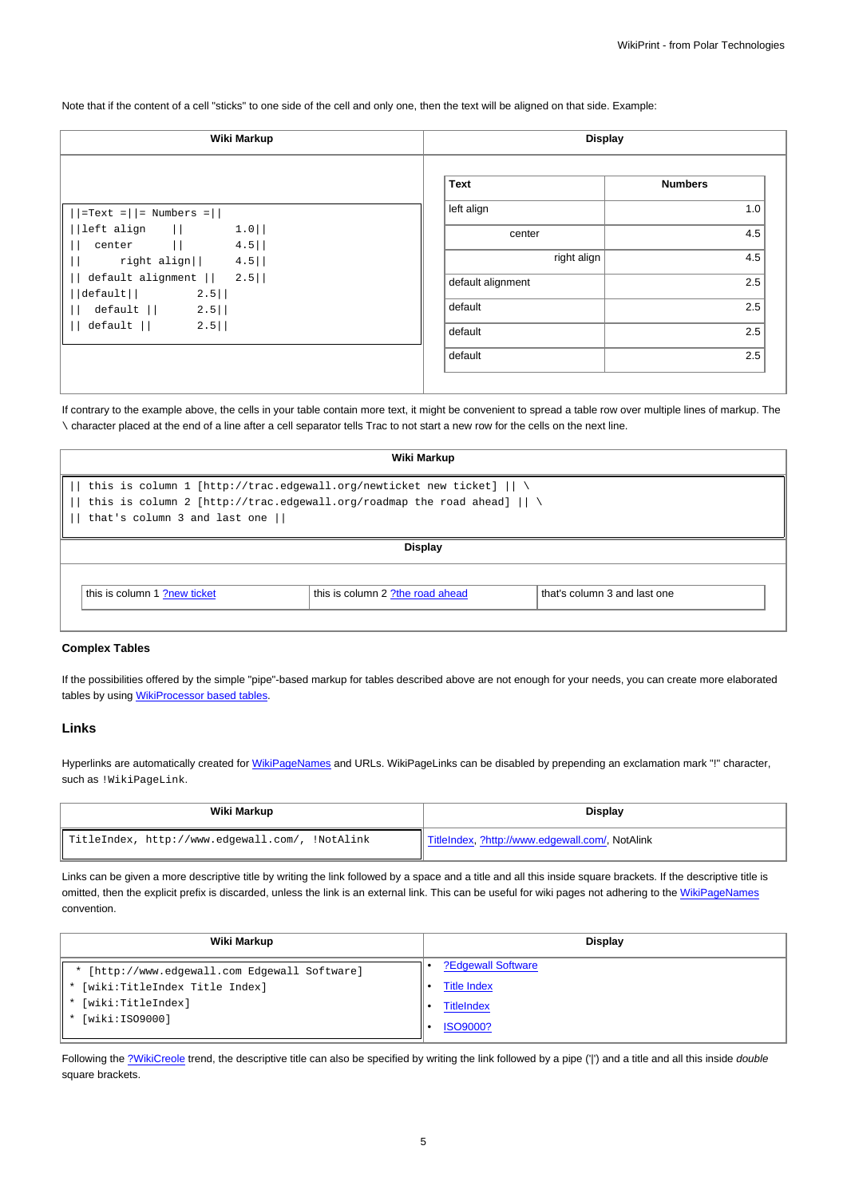Note that if the content of a cell "sticks" to one side of the cell and only one, then the text will be aligned on that side. Example:

| Wiki Markup                                                    | <b>Display</b>    |                |
|----------------------------------------------------------------|-------------------|----------------|
|                                                                | Text              | <b>Numbers</b> |
| $ \text{=Text} =   = \text{Numbers} =  $                       | left align        | 1.0            |
| $1.0$  <br>$ \text{left align}$ $  $<br>center   <br>$4.5$     | center            | 4.5            |
| right align $  $ 4.5                                           | right align       | 4.5            |
| default alignment $   2.5  $<br>$2.5$   <br>$ \text{default} $ | default alignment | 2.5            |
| default   <br>$2.5$                                            | default           | 2.5            |
| $2.5$   <br>default                                            | default           | 2.5            |
|                                                                | default           | 2.5            |

If contrary to the example above, the cells in your table contain more text, it might be convenient to spread a table row over multiple lines of markup. The \ character placed at the end of a line after a cell separator tells Trac to not start a new row for the cells on the next line.

| Wiki Markup                                                                                                                                                                                               |  |  |  |
|-----------------------------------------------------------------------------------------------------------------------------------------------------------------------------------------------------------|--|--|--|
| this is column 1 [http://trac.edgewall.org/newticket new ticket] $   \ \rangle$<br>this is column 2 [http://trac.edgewall.org/roadmap the road ahead] $   \ \rangle$<br>that's column 3 and last one $  $ |  |  |  |
| <b>Display</b>                                                                                                                                                                                            |  |  |  |
| this is column 1 ?new ticket<br>that's column 3 and last one<br>this is column 2 ?the road ahead                                                                                                          |  |  |  |

#### **Complex Tables**

If the possibilities offered by the simple "pipe"-based markup for tables described above are not enough for your needs, you can create more elaborated tables by using [WikiProcessor based tables](https://meteo.unican.es/trac/wiki/WikiFormatting#Processors-example-tables).

#### **Links**

Hyperlinks are automatically created for [WikiPageNames](https://meteo.unican.es/trac/wiki/WikiPageNames) and URLs. WikiPageLinks can be disabled by prepending an exclamation mark "!" character, such as !WikiPageLink.

| Wiki Markup                                     | <b>Display</b>                                  |
|-------------------------------------------------|-------------------------------------------------|
| TitleIndex, http://www.edgewall.com/, !NotAlink | TitleIndex, ?http://www.edgewall.com/, NotAlink |

Links can be given a more descriptive title by writing the link followed by a space and a title and all this inside square brackets. If the descriptive title is omitted, then the explicit prefix is discarded, unless the link is an external link. This can be useful for wiki pages not adhering to the [WikiPageNames](https://meteo.unican.es/trac/wiki/WikiPageNames) convention.

| Wiki Markup                                   | <b>Display</b>     |
|-----------------------------------------------|--------------------|
| * [http://www.edgewall.com Edgewall Software] | ?Edgewall Software |
| * [wiki:TitleIndex Title Index]               | <b>Title Index</b> |
| * [wiki:TitleIndex]                           | <b>TitleIndex</b>  |
| [wiki:ISO9000]                                | <b>ISO9000?</b>    |

Following the [?WikiCreole](http://trac.edgewall.org/intertrac/WikiCreole) trend, the descriptive title can also be specified by writing the link followed by a pipe ('|') and a title and all this inside double square brackets.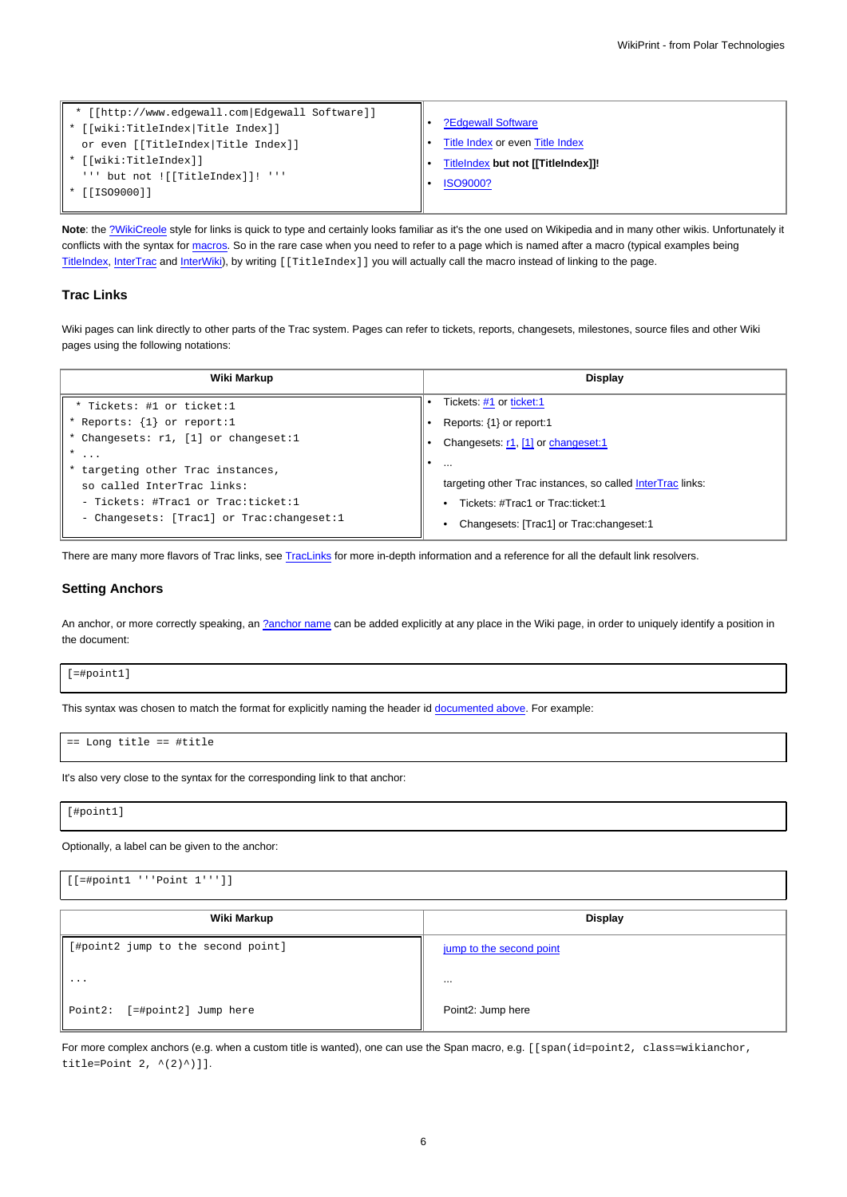| * [[http://www.edgewall.com Edgewall Software]]<br>* [[wiki:TitleIndex Title Index]]<br>or even [[TitleIndex Title Index]] | ?Edgewall Software<br>Title Index or even Title Index |
|----------------------------------------------------------------------------------------------------------------------------|-------------------------------------------------------|
| * [[wiki:TitleIndex]]                                                                                                      | TitleIndex but not [[TitleIndex]]!                    |
| ''' but not ![[TitleIndex]]! '''<br>* [[ISO9000]]                                                                          | <b>ISO9000?</b>                                       |

**Note**: the [?WikiCreole](http://trac.edgewall.org/intertrac/WikiCreole) style for links is quick to type and certainly looks familiar as it's the one used on Wikipedia and in many other wikis. Unfortunately it conflicts with the syntax for [macros.](https://meteo.unican.es/trac/wiki/WikiFormatting#Macros) So in the rare case when you need to refer to a page which is named after a macro (typical examples being [TitleIndex](https://meteo.unican.es/trac/wiki/TitleIndex), [InterTrac](https://meteo.unican.es/trac/wiki/InterTrac) and [InterWiki](https://meteo.unican.es/trac/wiki/InterWiki)), by writing [[TitleIndex]] you will actually call the macro instead of linking to the page.

#### **Trac Links**

Wiki pages can link directly to other parts of the Trac system. Pages can refer to tickets, reports, changesets, milestones, source files and other Wiki pages using the following notations:

| Wiki Markup                                 | Display                                                    |
|---------------------------------------------|------------------------------------------------------------|
| * Tickets: #1 or ticket:1                   | Tickets: #1 or ticket:1                                    |
| * Reports: $\{1\}$ or report:1              | Reports: $\{1\}$ or report:1                               |
| * Changesets: r1, [1] or changeset:1        | Changesets: r1, [1] or changeset:1                         |
| $\ast$<br>$\cdots$                          | $\cdots$                                                   |
| * targeting other Trac instances,           |                                                            |
| so called InterTrac links:                  | targeting other Trac instances, so called InterTrac links: |
| - Tickets: #Tracl or Trac:ticket:1          | • Tickets: #Trac1 or Trac:ticket:1                         |
| - Changesets: [Tracl] or Trac: changeset: 1 | Changesets: [Trac1] or Trac: changeset: 1                  |

There are many more flavors of Trac links, see [TracLinks](https://meteo.unican.es/trac/wiki/TracLinks) for more in-depth information and a reference for all the default link resolvers.

#### **Setting Anchors**

An anchor, or more correctly speaking, an [?anchor name](http://www.w3.org/TR/REC-html40/struct/links.html#h-12.2.1) can be added explicitly at any place in the Wiki page, in order to uniquely identify a position in the document:

[=#point1]

This syntax was chosen to match the format for explicitly naming the header id [documented above](https://meteo.unican.es/trac/wiki/WikiFormatting#Headings). For example:

== Long title == #title

It's also very close to the syntax for the corresponding link to that anchor:

[#point1]

Optionally, a label can be given to the anchor:

[[=#point1 '''Point 1''']] **Wiki Markup Display** [#point2 jump to the second point] ... Point2: [=#point2] Jump here [jump to the second point](https://meteo.unican.es/trac/wiki/WikiFormatting#point2) ... Point2: Jump here

For more complex anchors (e.g. when a custom title is wanted), one can use the Span macro, e.g. [[span(id=point2, class=wikianchor, title=Point  $2, ^{(-(2)^{^})}]$ .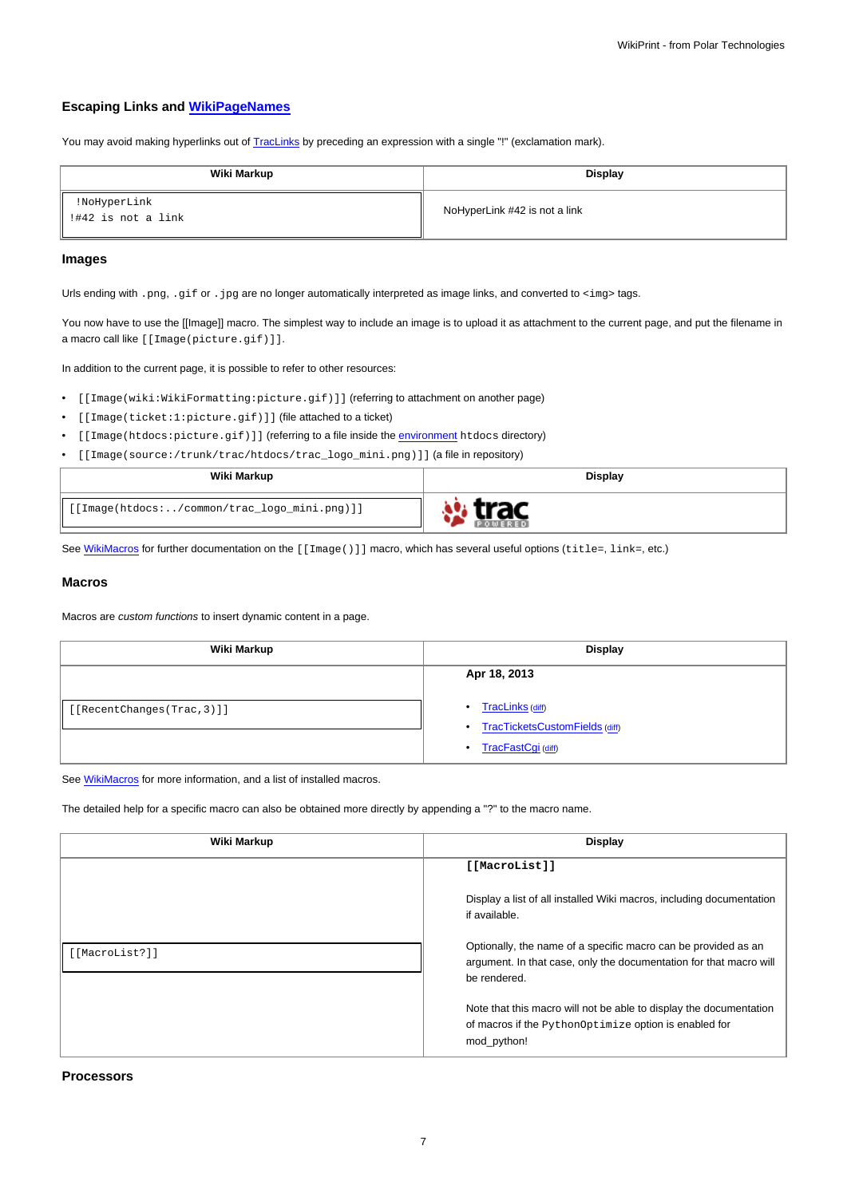## **Escaping Links and [WikiPageNames](https://meteo.unican.es/trac/wiki/WikiPageNames)**

You may avoid making hyperlinks out of [TracLinks](https://meteo.unican.es/trac/wiki/TracLinks) by preceding an expression with a single "!" (exclamation mark).

| Wiki Markup                          | Display                       |
|--------------------------------------|-------------------------------|
| !NoHyperLink<br>  !#42 is not a link | NoHyperLink #42 is not a link |

### **Images**

Urls ending with .png, .gif or .jpg are no longer automatically interpreted as image links, and converted to <img> tags.

You now have to use the [[Image]] macro. The simplest way to include an image is to upload it as attachment to the current page, and put the filename in a macro call like [[Image(picture.gif)]].

In addition to the current page, it is possible to refer to other resources:

- [[Image(wiki:WikiFormatting:picture.gif)]] (referring to attachment on another page)
- [[Image(ticket:1:picture.gif)]] (file attached to a ticket)
- [[Image(htdocs:picture.gif)]] (referring to a file inside the [environment](https://meteo.unican.es/trac/wiki/TracEnvironment) htdocs directory)
- [[Image(source:/trunk/trac/htdocs/trac\_logo\_mini.png)]] (a file in repository)

| Wiki Markup                                  | <b>Display</b> |
|----------------------------------------------|----------------|
| [[Image(htdocs:/common/trac_logo_mini.png)]] |                |

See [WikiMacros](https://meteo.unican.es/trac/wiki/WikiMacros) for further documentation on the [[Image()]] macro, which has several useful options (title=, link=, etc.)

#### **Macros**

Macros are custom functions to insert dynamic content in a page.

| Wiki Markup                | <b>Display</b>                                                                       |
|----------------------------|--------------------------------------------------------------------------------------|
| [[RecentChanges(Trac, 3)]] | Apr 18, 2013<br>TracLinks (diff)<br>٠<br>TracTicketsCustomFields (diff)<br>$\bullet$ |
|                            | TracFastCgi (diff)<br>$\bullet$                                                      |

See [WikiMacros](https://meteo.unican.es/trac/wiki/WikiMacros) for more information, and a list of installed macros.

The detailed help for a specific macro can also be obtained more directly by appending a "?" to the macro name.

| Wiki Markup    | Display                                                                                                                                              |
|----------------|------------------------------------------------------------------------------------------------------------------------------------------------------|
|                | [[MacroList]]                                                                                                                                        |
|                | Display a list of all installed Wiki macros, including documentation<br>if available.                                                                |
| [[MacroList?]] | Optionally, the name of a specific macro can be provided as an<br>argument. In that case, only the documentation for that macro will<br>be rendered. |
|                | Note that this macro will not be able to display the documentation<br>of macros if the PythonOptimize option is enabled for<br>mod python!           |

**Processors**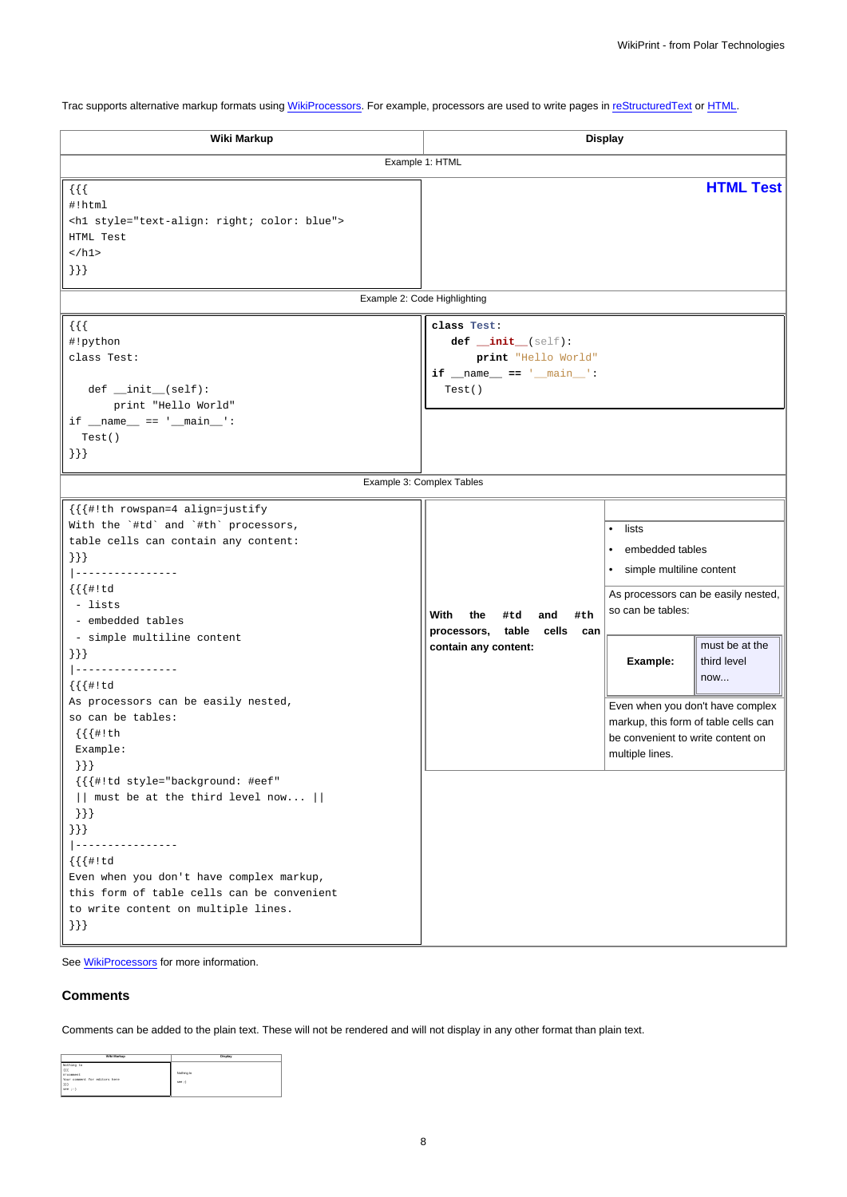Trac supports alternative markup formats using [WikiProcessors.](https://meteo.unican.es/trac/wiki/WikiProcessors) For example, processors are used to write pages in [reStructuredText](https://meteo.unican.es/trac/wiki/WikiRestructuredText) or [HTML.](https://meteo.unican.es/trac/wiki/WikiHtml)

| Wiki Markup<br><b>Display</b>                                                                                                                                                                                                                                                                                                                                                |                                                                                                |                                                                                                                                                                                                                                                 |                                      |
|------------------------------------------------------------------------------------------------------------------------------------------------------------------------------------------------------------------------------------------------------------------------------------------------------------------------------------------------------------------------------|------------------------------------------------------------------------------------------------|-------------------------------------------------------------------------------------------------------------------------------------------------------------------------------------------------------------------------------------------------|--------------------------------------|
| Example 1: HTML                                                                                                                                                                                                                                                                                                                                                              |                                                                                                |                                                                                                                                                                                                                                                 |                                      |
| $\{ \}$<br>#!html<br><h1 style="text-align: right; color: blue"><br/>HTML Test<br/><math>\langle</math>/h1&gt;<br/><math>\{\}</math></h1>                                                                                                                                                                                                                                    |                                                                                                |                                                                                                                                                                                                                                                 | <b>HTML Test</b>                     |
|                                                                                                                                                                                                                                                                                                                                                                              | Example 2: Code Highlighting                                                                   |                                                                                                                                                                                                                                                 |                                      |
| $\{\{\}\}\$<br>#!python<br>class Test:<br>$def __init__(self):$<br>print "Hello World"<br>$if __name__ == '__main__':$<br>Test()<br>$\{\}$                                                                                                                                                                                                                                   | class Test:<br>def _init_(self):<br>print "Hello World"<br>if $_name_ = = '_main_':$<br>Test() |                                                                                                                                                                                                                                                 |                                      |
|                                                                                                                                                                                                                                                                                                                                                                              | Example 3: Complex Tables                                                                      |                                                                                                                                                                                                                                                 |                                      |
| {{{#!th rowspan=4 align=justify<br>With the `#td` and `#th` processors,<br>table cells can contain any content:<br>$\{\}\}$<br> ----------------<br>$\{ \{ \{ \# ! \, td \} \} \}$<br>- lists<br>- embedded tables<br>- simple multiline content<br>$\{\}\}$<br>______________<br>$\{ \{ \{ \# ! \, td \} \} \}$<br>As processors can be easily nested,<br>so can be tables: | With<br>the<br>#td<br>and<br>#th<br>processors, table cells can<br>contain any content:        | lists<br>$\bullet$<br>embedded tables<br>$\bullet$<br>simple multiline content<br>$\bullet$<br>As processors can be easily nested,<br>so can be tables:<br>Example:<br>Even when you don't have complex<br>markup, this form of table cells can | must be at the<br>third level<br>now |
| $\{ \{ \{ \#! \text{ th}$<br>Example:<br>$\{\}$ } }<br>{{{#!td style="background: #eef"<br>$  $ must be at the third level now $  $<br>$\}$ } }<br>$\{\}$ } }<br>--------------<br>$  - -$<br>$\{ \{ \{ \# ! \, td \} \} \}$<br>Even when you don't have complex markup,<br>this form of table cells can be convenient<br>to write content on multiple lines.<br>$\{\}$      |                                                                                                | be convenient to write content on<br>multiple lines.                                                                                                                                                                                            |                                      |

See **WikiProcessors** for more information.

## **Comments**

Comments can be added to the plain text. These will not be rendered and will not display in any other format than plain text.

| Wiki Markup                                                                              | Display                |
|------------------------------------------------------------------------------------------|------------------------|
| Nothing to<br>(1)<br>#   comment<br>Your comment for editors here<br>(33)<br>$20011 - 1$ | Nothing to<br>2000 > 1 |